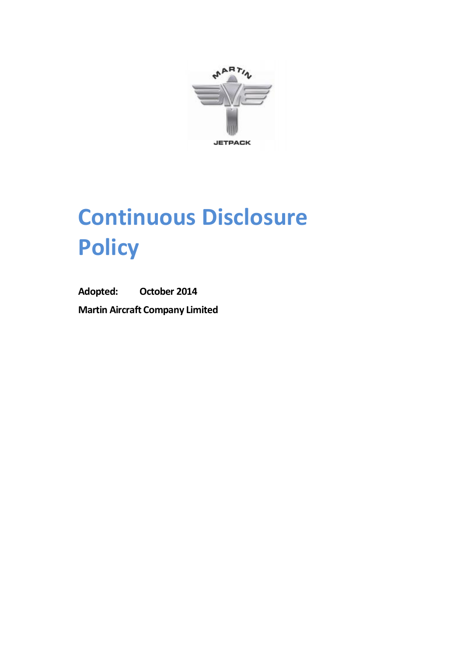

# **Continuous Disclosure Policy**

**Adopted: October 2014 Martin Aircraft Company Limited**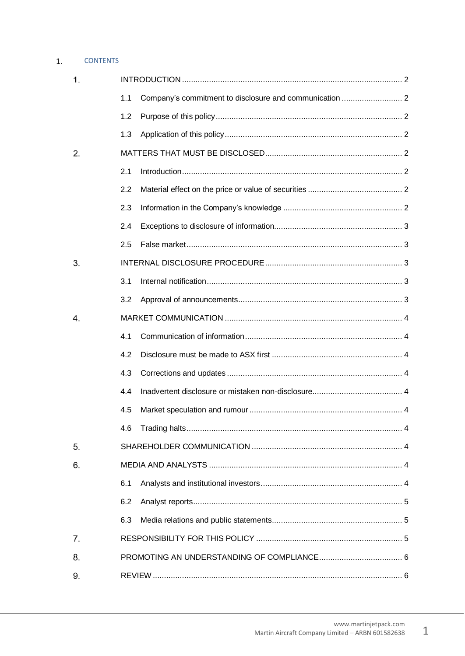#### $1.$ **CONTENTS**

<span id="page-1-0"></span>

| $\mathbf 1$ . |     |  |  |  |
|---------------|-----|--|--|--|
|               | 1.1 |  |  |  |
|               | 1.2 |  |  |  |
|               | 1.3 |  |  |  |
| 2.            |     |  |  |  |
|               | 2.1 |  |  |  |
|               | 2.2 |  |  |  |
|               | 2.3 |  |  |  |
|               | 2.4 |  |  |  |
|               | 2.5 |  |  |  |
| 3.            |     |  |  |  |
|               | 3.1 |  |  |  |
|               | 3.2 |  |  |  |
| 4.            |     |  |  |  |
|               | 4.1 |  |  |  |
|               | 4.2 |  |  |  |
|               | 4.3 |  |  |  |
|               | 4.4 |  |  |  |
|               | 4.5 |  |  |  |
|               | 4.6 |  |  |  |
| 5.            |     |  |  |  |
| 6.            |     |  |  |  |
|               | 6.1 |  |  |  |
|               | 6.2 |  |  |  |
|               | 6.3 |  |  |  |
| 7.            |     |  |  |  |
| 8.            |     |  |  |  |
| 9.            |     |  |  |  |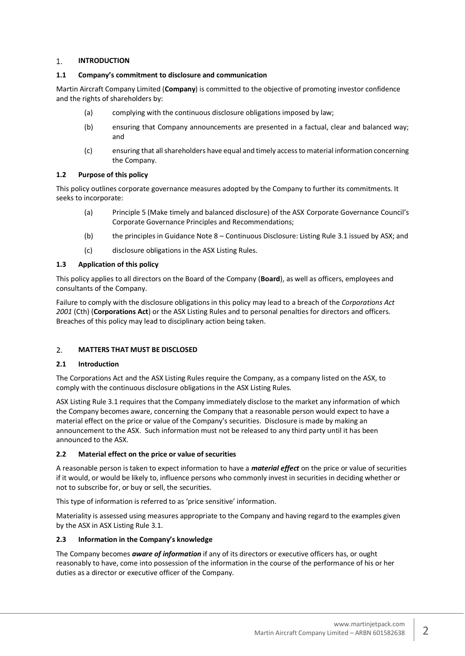#### 1. **INTRODUCTION**

# <span id="page-2-0"></span>**1.1 Company's commitment to disclosure and communication**

Martin Aircraft Company Limited (**Company**) is committed to the objective of promoting investor confidence and the rights of shareholders by:

- (a) complying with the continuous disclosure obligations imposed by law;
- (b) ensuring that Company announcements are presented in a factual, clear and balanced way; and
- (c) ensuring that all shareholders have equal and timely access to material information concerning the Company.

# <span id="page-2-1"></span>**1.2 Purpose of this policy**

This policy outlines corporate governance measures adopted by the Company to further its commitments. It seeks to incorporate:

- (a) Principle 5 (Make timely and balanced disclosure) of the ASX Corporate Governance Council's Corporate Governance Principles and Recommendations;
- (b) the principles in Guidance Note 8 Continuous Disclosure: Listing Rule 3.1 issued by ASX; and
- (c) disclosure obligations in the ASX Listing Rules.

# <span id="page-2-2"></span>**1.3 Application of this policy**

This policy applies to all directors on the Board of the Company (**Board**), as well as officers, employees and consultants of the Company.

Failure to comply with the disclosure obligations in this policy may lead to a breach of the *Corporations Act 2001* (Cth) (**Corporations Act**) or the ASX Listing Rules and to personal penalties for directors and officers. Breaches of this policy may lead to disciplinary action being taken.

#### <span id="page-2-3"></span> $2.$ **MATTERS THAT MUST BE DISCLOSED**

# <span id="page-2-4"></span>**2.1 Introduction**

The Corporations Act and the ASX Listing Rules require the Company, as a company listed on the ASX, to comply with the continuous disclosure obligations in the ASX Listing Rules.

ASX Listing Rule 3.1 requires that the Company immediately disclose to the market any information of which the Company becomes aware, concerning the Company that a reasonable person would expect to have a material effect on the price or value of the Company's securities. Disclosure is made by making an announcement to the ASX. Such information must not be released to any third party until it has been announced to the ASX.

# <span id="page-2-5"></span>**2.2 Material effect on the price or value of securities**

A reasonable person is taken to expect information to have a *material effect* on the price or value of securities if it would, or would be likely to, influence persons who commonly invest in securities in deciding whether or not to subscribe for, or buy or sell, the securities.

This type of information is referred to as 'price sensitive' information.

Materiality is assessed using measures appropriate to the Company and having regard to the examples given by the ASX in ASX Listing Rule 3.1.

# <span id="page-2-6"></span>**2.3 Information in the Company's knowledge**

The Company becomes *aware of information* if any of its directors or executive officers has, or ought reasonably to have, come into possession of the information in the course of the performance of his or her duties as a director or executive officer of the Company.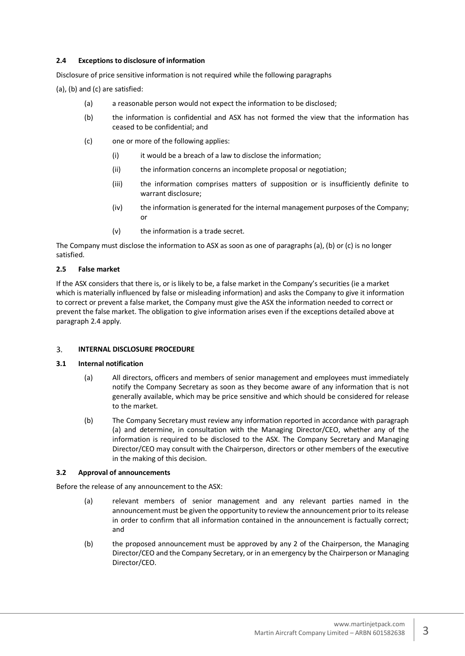# <span id="page-3-0"></span>**2.4 Exceptions to disclosure of information**

Disclosure of price sensitive information is not required while the following paragraphs

(a), (b) and (c) are satisfied:

- (a) a reasonable person would not expect the information to be disclosed;
- (b) the information is confidential and ASX has not formed the view that the information has ceased to be confidential; and
- (c) one or more of the following applies:
	- (i) it would be a breach of a law to disclose the information;
	- (ii) the information concerns an incomplete proposal or negotiation;
	- (iii) the information comprises matters of supposition or is insufficiently definite to warrant disclosure;
	- (iv) the information is generated for the internal management purposes of the Company; or
	- (v) the information is a trade secret.

The Company must disclose the information to ASX as soon as one of paragraphs (a), (b) or (c) is no longer satisfied.

## <span id="page-3-1"></span>**2.5 False market**

If the ASX considers that there is, or is likely to be, a false market in the Company's securities (ie a market which is materially influenced by false or misleading information) and asks the Company to give it information to correct or prevent a false market, the Company must give the ASX the information needed to correct or prevent the false market. The obligation to give information arises even if the exceptions detailed above at paragraph 2.4 apply.

#### <span id="page-3-2"></span>3. **INTERNAL DISCLOSURE PROCEDURE**

## <span id="page-3-3"></span>**3.1 Internal notification**

- (a) All directors, officers and members of senior management and employees must immediately notify the Company Secretary as soon as they become aware of any information that is not generally available, which may be price sensitive and which should be considered for release to the market.
- (b) The Company Secretary must review any information reported in accordance with paragraph (a) and determine, in consultation with the Managing Director/CEO, whether any of the information is required to be disclosed to the ASX. The Company Secretary and Managing Director/CEO may consult with the Chairperson, directors or other members of the executive in the making of this decision.

## <span id="page-3-4"></span>**3.2 Approval of announcements**

Before the release of any announcement to the ASX:

- (a) relevant members of senior management and any relevant parties named in the announcement must be given the opportunity to review the announcement prior to its release in order to confirm that all information contained in the announcement is factually correct; and
- (b) the proposed announcement must be approved by any 2 of the Chairperson, the Managing Director/CEO and the Company Secretary, or in an emergency by the Chairperson or Managing Director/CEO.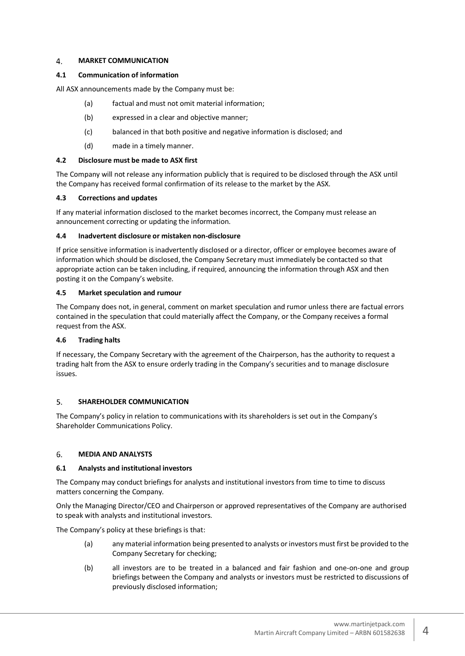#### <span id="page-4-0"></span>4. **MARKET COMMUNICATION**

## <span id="page-4-1"></span>**4.1 Communication of information**

All ASX announcements made by the Company must be:

- (a) factual and must not omit material information;
- (b) expressed in a clear and objective manner;
- (c) balanced in that both positive and negative information is disclosed; and
- (d) made in a timely manner.

## <span id="page-4-2"></span>**4.2 Disclosure must be made to ASX first**

The Company will not release any information publicly that is required to be disclosed through the ASX until the Company has received formal confirmation of its release to the market by the ASX.

## <span id="page-4-3"></span>**4.3 Corrections and updates**

If any material information disclosed to the market becomes incorrect, the Company must release an announcement correcting or updating the information.

## <span id="page-4-4"></span>**4.4 Inadvertent disclosure or mistaken non-disclosure**

If price sensitive information is inadvertently disclosed or a director, officer or employee becomes aware of information which should be disclosed, the Company Secretary must immediately be contacted so that appropriate action can be taken including, if required, announcing the information through ASX and then posting it on the Company's website.

## <span id="page-4-5"></span>**4.5 Market speculation and rumour**

The Company does not, in general, comment on market speculation and rumor unless there are factual errors contained in the speculation that could materially affect the Company, or the Company receives a formal request from the ASX.

# <span id="page-4-6"></span>**4.6 Trading halts**

If necessary, the Company Secretary with the agreement of the Chairperson, has the authority to request a trading halt from the ASX to ensure orderly trading in the Company's securities and to manage disclosure issues.

#### <span id="page-4-7"></span>5. **SHAREHOLDER COMMUNICATION**

The Company's policy in relation to communications with its shareholders is set out in the Company's Shareholder Communications Policy.

#### <span id="page-4-8"></span>6. **MEDIA AND ANALYSTS**

# <span id="page-4-9"></span>**6.1 Analysts and institutional investors**

The Company may conduct briefings for analysts and institutional investors from time to time to discuss matters concerning the Company.

Only the Managing Director/CEO and Chairperson or approved representatives of the Company are authorised to speak with analysts and institutional investors.

The Company's policy at these briefings is that:

- (a) any material information being presented to analysts or investors must first be provided to the Company Secretary for checking;
- (b) all investors are to be treated in a balanced and fair fashion and one-on-one and group briefings between the Company and analysts or investors must be restricted to discussions of previously disclosed information;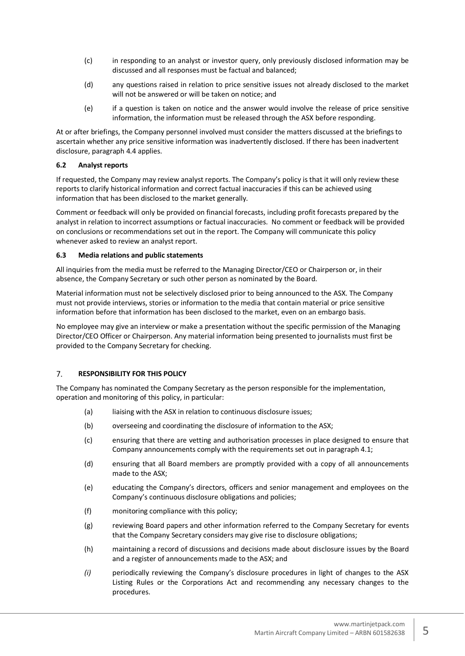- (c) in responding to an analyst or investor query, only previously disclosed information may be discussed and all responses must be factual and balanced;
- (d) any questions raised in relation to price sensitive issues not already disclosed to the market will not be answered or will be taken on notice; and
- (e) if a question is taken on notice and the answer would involve the release of price sensitive information, the information must be released through the ASX before responding.

At or after briefings, the Company personnel involved must consider the matters discussed at the briefings to ascertain whether any price sensitive information was inadvertently disclosed. If there has been inadvertent disclosure, paragraph 4.4 applies.

## <span id="page-5-0"></span>**6.2 Analyst reports**

If requested, the Company may review analyst reports. The Company's policy is that it will only review these reports to clarify historical information and correct factual inaccuracies if this can be achieved using information that has been disclosed to the market generally.

Comment or feedback will only be provided on financial forecasts, including profit forecasts prepared by the analyst in relation to incorrect assumptions or factual inaccuracies. No comment or feedback will be provided on conclusions or recommendations set out in the report. The Company will communicate this policy whenever asked to review an analyst report.

## <span id="page-5-1"></span>**6.3 Media relations and public statements**

All inquiries from the media must be referred to the Managing Director/CEO or Chairperson or, in their absence, the Company Secretary or such other person as nominated by the Board.

Material information must not be selectively disclosed prior to being announced to the ASX. The Company must not provide interviews, stories or information to the media that contain material or price sensitive information before that information has been disclosed to the market, even on an embargo basis.

No employee may give an interview or make a presentation without the specific permission of the Managing Director/CEO Officer or Chairperson. Any material information being presented to journalists must first be provided to the Company Secretary for checking.

#### <span id="page-5-2"></span> $7.$ **RESPONSIBILITY FOR THIS POLICY**

The Company has nominated the Company Secretary as the person responsible for the implementation, operation and monitoring of this policy, in particular:

- (a) liaising with the ASX in relation to continuous disclosure issues;
- (b) overseeing and coordinating the disclosure of information to the ASX;
- (c) ensuring that there are vetting and authorisation processes in place designed to ensure that Company announcements comply with the requirements set out in paragraph 4.1;
- (d) ensuring that all Board members are promptly provided with a copy of all announcements made to the ASX;
- (e) educating the Company's directors, officers and senior management and employees on the Company's continuous disclosure obligations and policies;
- (f) monitoring compliance with this policy;
- (g) reviewing Board papers and other information referred to the Company Secretary for events that the Company Secretary considers may give rise to disclosure obligations;
- (h) maintaining a record of discussions and decisions made about disclosure issues by the Board and a register of announcements made to the ASX; and
- *(i)* periodically reviewing the Company's disclosure procedures in light of changes to the ASX Listing Rules or the Corporations Act and recommending any necessary changes to the procedures.